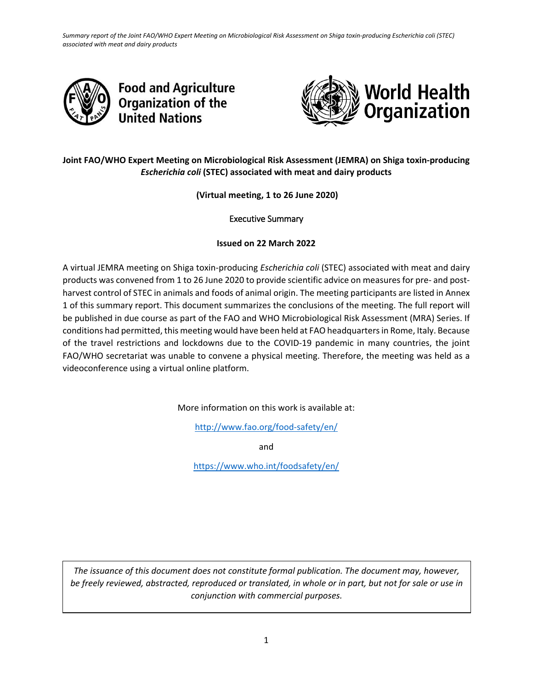*Summary report of the Joint FAO/WHO Expert Meeting on Microbiological Risk Assessment on Shiga toxin-producing Escherichia coli (STEC) associated with meat and dairy products*





# **Joint FAO/WHO Expert Meeting on Microbiological Risk Assessment (JEMRA) on Shiga toxin-producing**  *Escherichia coli* **(STEC) associated with meat and dairy products**

**(Virtual meeting, 1 to 26 June 2020)**

Executive Summary

## **Issued on 22 March 2022**

A virtual JEMRA meeting on Shiga toxin-producing *Escherichia coli* (STEC) associated with meat and dairy products was convened from 1 to 26 June 2020 to provide scientific advice on measures for pre- and postharvest control of STEC in animals and foods of animal origin. The meeting participants are listed in Annex 1 of this summary report. This document summarizes the conclusions of the meeting. The full report will be published in due course as part of the FAO and WHO Microbiological Risk Assessment (MRA) Series. If conditions had permitted, this meeting would have been held at FAO headquarters in Rome, Italy. Because of the travel restrictions and lockdowns due to the COVID-19 pandemic in many countries, the joint FAO/WHO secretariat was unable to convene a physical meeting. Therefore, the meeting was held as a videoconference using a virtual online platform.

More information on this work is available at:

<http://www.fao.org/food-safety/en/>

and

<https://www.who.int/foodsafety/en/>

*The issuance of this document does not constitute formal publication. The document may, however, be freely reviewed, abstracted, reproduced or translated, in whole or in part, but not for sale or use in conjunction with commercial purposes.*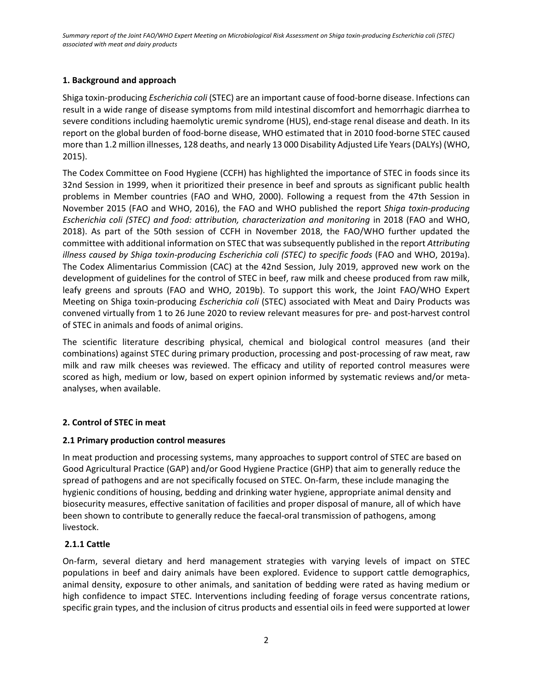# **1. Background and approach**

Shiga toxin-producing *Escherichia coli* (STEC) are an important cause of food-borne disease. Infections can result in a wide range of disease symptoms from mild intestinal discomfort and hemorrhagic diarrhea to severe conditions including haemolytic uremic syndrome (HUS), end-stage renal disease and death. In its report on the global burden of food-borne disease, WHO estimated that in 2010 food-borne STEC caused more than 1.2 million illnesses, 128 deaths, and nearly 13 000 Disability Adjusted Life Years (DALYs) (WHO, 2015).

The Codex Committee on Food Hygiene (CCFH) has highlighted the importance of STEC in foods since its 32nd Session in 1999, when it prioritized their presence in beef and sprouts as significant public health problems in Member countries (FAO and WHO, 2000). Following a request from the 47th Session in November 2015 (FAO and WHO, 2016), the FAO and WHO published the report *Shiga toxin-producing Escherichia coli (STEC) and food: attribution, characterization and monitoring* in 2018 (FAO and WHO, 2018). As part of the 50th session of CCFH in November 2018, the FAO/WHO further updated the committee with additional information on STEC that was subsequently published in the report *Attributing illness caused by Shiga toxin-producing Escherichia coli (STEC) to specific foods* (FAO and WHO, 2019a). The Codex Alimentarius Commission (CAC) at the 42nd Session, July 2019, approved new work on the development of guidelines for the control of STEC in beef, raw milk and cheese produced from raw milk, leafy greens and sprouts (FAO and WHO, 2019b). To support this work, the Joint FAO/WHO Expert Meeting on Shiga toxin-producing *Escherichia coli* (STEC) associated with Meat and Dairy Products was convened virtually from 1 to 26 June 2020 to review relevant measures for pre- and post-harvest control of STEC in animals and foods of animal origins.

The scientific literature describing physical, chemical and biological control measures (and their combinations) against STEC during primary production, processing and post-processing of raw meat, raw milk and raw milk cheeses was reviewed. The efficacy and utility of reported control measures were scored as high, medium or low, based on expert opinion informed by systematic reviews and/or metaanalyses, when available.

# **2. Control of STEC in meat**

# **2.1 Primary production control measures**

In meat production and processing systems, many approaches to support control of STEC are based on Good Agricultural Practice (GAP) and/or Good Hygiene Practice (GHP) that aim to generally reduce the spread of pathogens and are not specifically focused on STEC. On-farm, these include managing the hygienic conditions of housing, bedding and drinking water hygiene, appropriate animal density and biosecurity measures, effective sanitation of facilities and proper disposal of manure, all of which have been shown to contribute to generally reduce the faecal-oral transmission of pathogens, among livestock.

# **2.1.1 Cattle**

On-farm, several dietary and herd management strategies with varying levels of impact on STEC populations in beef and dairy animals have been explored. Evidence to support cattle demographics, animal density, exposure to other animals, and sanitation of bedding were rated as having medium or high confidence to impact STEC. Interventions including feeding of forage versus concentrate rations, specific grain types, and the inclusion of citrus products and essential oils in feed were supported at lower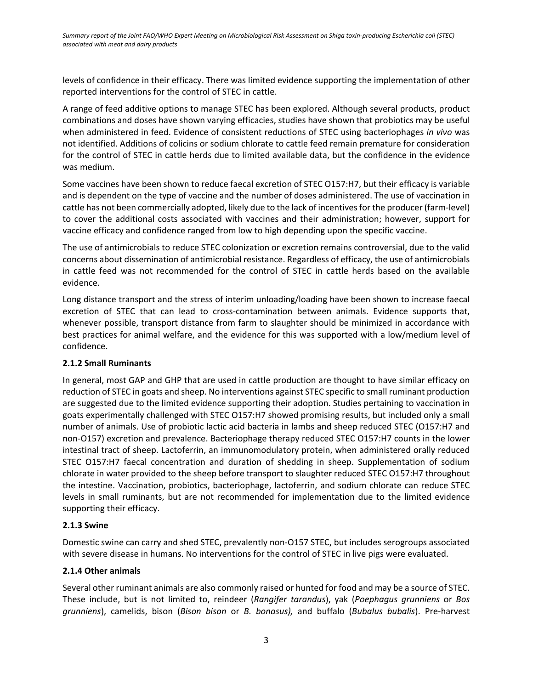levels of confidence in their efficacy. There was limited evidence supporting the implementation of other reported interventions for the control of STEC in cattle.

A range of feed additive options to manage STEC has been explored. Although several products, product combinations and doses have shown varying efficacies, studies have shown that probiotics may be useful when administered in feed. Evidence of consistent reductions of STEC using bacteriophages *in vivo* was not identified. Additions of colicins or sodium chlorate to cattle feed remain premature for consideration for the control of STEC in cattle herds due to limited available data, but the confidence in the evidence was medium.

Some vaccines have been shown to reduce faecal excretion of STEC O157:H7, but their efficacy is variable and is dependent on the type of vaccine and the number of doses administered. The use of vaccination in cattle has not been commercially adopted, likely due to the lack of incentives for the producer (farm-level) to cover the additional costs associated with vaccines and their administration; however, support for vaccine efficacy and confidence ranged from low to high depending upon the specific vaccine.

The use of antimicrobials to reduce STEC colonization or excretion remains controversial, due to the valid concerns about dissemination of antimicrobial resistance. Regardless of efficacy, the use of antimicrobials in cattle feed was not recommended for the control of STEC in cattle herds based on the available evidence.

Long distance transport and the stress of interim unloading/loading have been shown to increase faecal excretion of STEC that can lead to cross-contamination between animals. Evidence supports that, whenever possible, transport distance from farm to slaughter should be minimized in accordance with best practices for animal welfare, and the evidence for this was supported with a low/medium level of confidence.

# **2.1.2 Small Ruminants**

In general, most GAP and GHP that are used in cattle production are thought to have similar efficacy on reduction of STEC in goats and sheep. No interventions against STEC specific to small ruminant production are suggested due to the limited evidence supporting their adoption. Studies pertaining to vaccination in goats experimentally challenged with STEC O157:H7 showed promising results, but included only a small number of animals. Use of probiotic lactic acid bacteria in lambs and sheep reduced STEC (O157:H7 and non-O157) excretion and prevalence. Bacteriophage therapy reduced STEC O157:H7 counts in the lower intestinal tract of sheep. Lactoferrin, an immunomodulatory protein, when administered orally reduced STEC O157:H7 faecal concentration and duration of shedding in sheep. Supplementation of sodium chlorate in water provided to the sheep before transport to slaughter reduced STEC O157:H7 throughout the intestine. Vaccination, probiotics, bacteriophage, lactoferrin, and sodium chlorate can reduce STEC levels in small ruminants, but are not recommended for implementation due to the limited evidence supporting their efficacy.

# **2.1.3 Swine**

Domestic swine can carry and shed STEC, prevalently non-O157 STEC, but includes serogroups associated with severe disease in humans. No interventions for the control of STEC in live pigs were evaluated.

# **2.1.4 Other animals**

Several other ruminant animals are also commonly raised or hunted for food and may be a source of STEC. These include, but is not limited to, reindeer (*Rangifer tarandus*), yak (*Poephagus grunniens* or *Bos grunniens*), camelids, bison (*Bison bison* or *B. bonasus),* and buffalo (*Bubalus bubalis*). Pre-harvest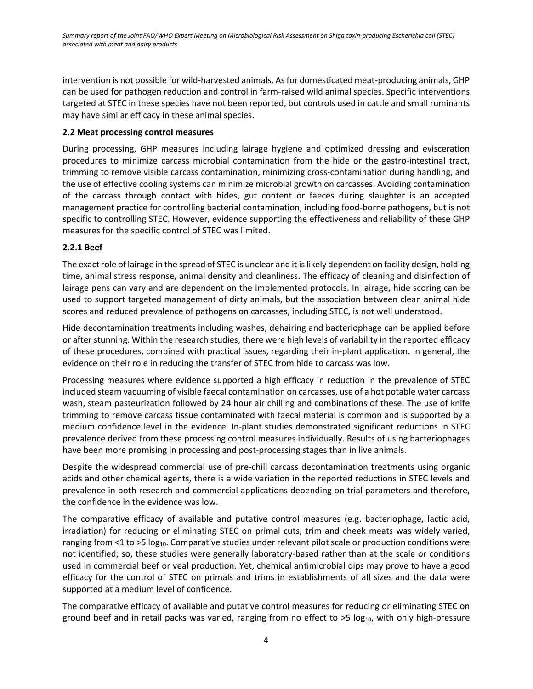intervention is not possible for wild-harvested animals. As for domesticated meat-producing animals, GHP can be used for pathogen reduction and control in farm-raised wild animal species. Specific interventions targeted at STEC in these species have not been reported, but controls used in cattle and small ruminants may have similar efficacy in these animal species.

# **2.2 Meat processing control measures**

During processing, GHP measures including lairage hygiene and optimized dressing and evisceration procedures to minimize carcass microbial contamination from the hide or the gastro-intestinal tract, trimming to remove visible carcass contamination, minimizing cross-contamination during handling, and the use of effective cooling systems can minimize microbial growth on carcasses. Avoiding contamination of the carcass through contact with hides, gut content or faeces during slaughter is an accepted management practice for controlling bacterial contamination, including food-borne pathogens, but is not specific to controlling STEC. However, evidence supporting the effectiveness and reliability of these GHP measures for the specific control of STEC was limited.

# **2.2.1 Beef**

The exact role of lairage in the spread of STEC is unclear and it is likely dependent on facility design, holding time, animal stress response, animal density and cleanliness. The efficacy of cleaning and disinfection of lairage pens can vary and are dependent on the implemented protocols. In lairage, hide scoring can be used to support targeted management of dirty animals, but the association between clean animal hide scores and reduced prevalence of pathogens on carcasses, including STEC, is not well understood.

Hide decontamination treatments including washes, dehairing and bacteriophage can be applied before or after stunning. Within the research studies, there were high levels of variability in the reported efficacy of these procedures, combined with practical issues, regarding their in-plant application. In general, the evidence on their role in reducing the transfer of STEC from hide to carcass was low.

Processing measures where evidence supported a high efficacy in reduction in the prevalence of STEC included steam vacuuming of visible faecal contamination on carcasses, use of a hot potable water carcass wash, steam pasteurization followed by 24 hour air chilling and combinations of these. The use of knife trimming to remove carcass tissue contaminated with faecal material is common and is supported by a medium confidence level in the evidence. In-plant studies demonstrated significant reductions in STEC prevalence derived from these processing control measures individually. Results of using bacteriophages have been more promising in processing and post-processing stages than in live animals.

Despite the widespread commercial use of pre-chill carcass decontamination treatments using organic acids and other chemical agents, there is a wide variation in the reported reductions in STEC levels and prevalence in both research and commercial applications depending on trial parameters and therefore, the confidence in the evidence was low.

The comparative efficacy of available and putative control measures (e.g. bacteriophage, lactic acid, irradiation) for reducing or eliminating STEC on primal cuts, trim and cheek meats was widely varied, ranging from <1 to >5  $log_{10}$ . Comparative studies under relevant pilot scale or production conditions were not identified; so, these studies were generally laboratory-based rather than at the scale or conditions used in commercial beef or veal production. Yet, chemical antimicrobial dips may prove to have a good efficacy for the control of STEC on primals and trims in establishments of all sizes and the data were supported at a medium level of confidence.

The comparative efficacy of available and putative control measures for reducing or eliminating STEC on ground beef and in retail packs was varied, ranging from no effect to  $>5 \log_{10}$ , with only high-pressure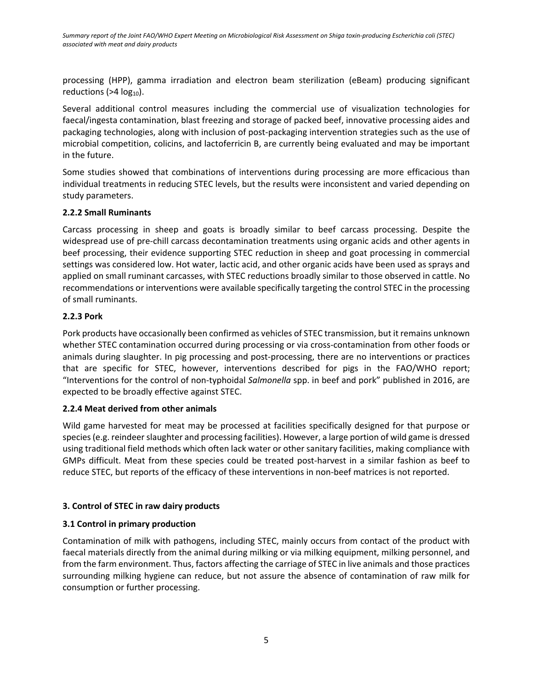processing (HPP), gamma irradiation and electron beam sterilization (eBeam) producing significant reductions ( $>4$  log<sub>10</sub>).

Several additional control measures including the commercial use of visualization technologies for faecal/ingesta contamination, blast freezing and storage of packed beef, innovative processing aides and packaging technologies, along with inclusion of post-packaging intervention strategies such as the use of microbial competition, colicins, and lactoferricin B, are currently being evaluated and may be important in the future.

Some studies showed that combinations of interventions during processing are more efficacious than individual treatments in reducing STEC levels, but the results were inconsistent and varied depending on study parameters.

## **2.2.2 Small Ruminants**

Carcass processing in sheep and goats is broadly similar to beef carcass processing. Despite the widespread use of pre-chill carcass decontamination treatments using organic acids and other agents in beef processing, their evidence supporting STEC reduction in sheep and goat processing in commercial settings was considered low. Hot water, lactic acid, and other organic acids have been used as sprays and applied on small ruminant carcasses, with STEC reductions broadly similar to those observed in cattle. No recommendations or interventions were available specifically targeting the control STEC in the processing of small ruminants.

# **2.2.3 Pork**

Pork products have occasionally been confirmed as vehicles of STEC transmission, but it remains unknown whether STEC contamination occurred during processing or via cross-contamination from other foods or animals during slaughter. In pig processing and post-processing, there are no interventions or practices that are specific for STEC, however, interventions described for pigs in the FAO/WHO report; "Interventions for the control of non-typhoidal *Salmonella* spp. in beef and pork" published in 2016, are expected to be broadly effective against STEC.

# **2.2.4 Meat derived from other animals**

Wild game harvested for meat may be processed at facilities specifically designed for that purpose or species (e.g. reindeer slaughter and processing facilities). However, a large portion of wild game is dressed using traditional field methods which often lack water or other sanitary facilities, making compliance with GMPs difficult. Meat from these species could be treated post-harvest in a similar fashion as beef to reduce STEC, but reports of the efficacy of these interventions in non-beef matrices is not reported.

# **3. Control of STEC in raw dairy products**

# **3.1 Control in primary production**

Contamination of milk with pathogens, including STEC, mainly occurs from contact of the product with faecal materials directly from the animal during milking or via milking equipment, milking personnel, and from the farm environment. Thus, factors affecting the carriage of STEC in live animals and those practices surrounding milking hygiene can reduce, but not assure the absence of contamination of raw milk for consumption or further processing.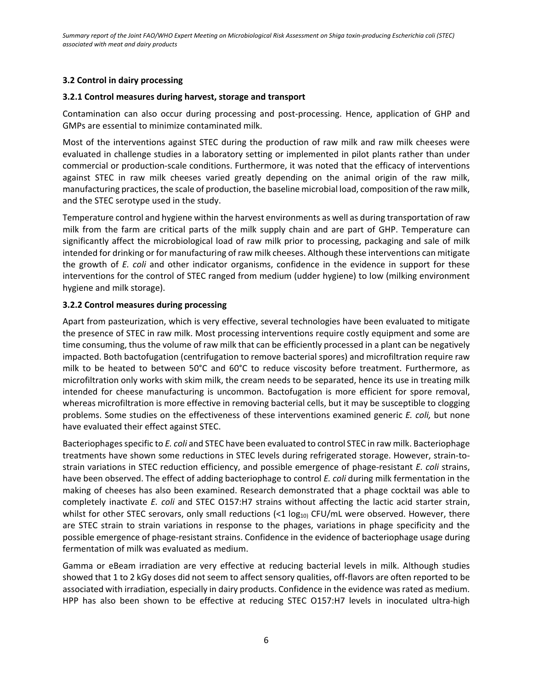# **3.2 Control in dairy processing**

## **3.2.1 Control measures during harvest, storage and transport**

Contamination can also occur during processing and post-processing. Hence, application of GHP and GMPs are essential to minimize contaminated milk.

Most of the interventions against STEC during the production of raw milk and raw milk cheeses were evaluated in challenge studies in a laboratory setting or implemented in pilot plants rather than under commercial or production-scale conditions. Furthermore, it was noted that the efficacy of interventions against STEC in raw milk cheeses varied greatly depending on the animal origin of the raw milk, manufacturing practices, the scale of production, the baseline microbial load, composition of the raw milk, and the STEC serotype used in the study.

Temperature control and hygiene within the harvest environments as well as during transportation of raw milk from the farm are critical parts of the milk supply chain and are part of GHP. Temperature can significantly affect the microbiological load of raw milk prior to processing, packaging and sale of milk intended for drinking or for manufacturing of raw milk cheeses. Although these interventions can mitigate the growth of *E. coli* and other indicator organisms, confidence in the evidence in support for these interventions for the control of STEC ranged from medium (udder hygiene) to low (milking environment hygiene and milk storage).

## **3.2.2 Control measures during processing**

Apart from pasteurization, which is very effective, several technologies have been evaluated to mitigate the presence of STEC in raw milk. Most processing interventions require costly equipment and some are time consuming, thus the volume of raw milk that can be efficiently processed in a plant can be negatively impacted. Both bactofugation (centrifugation to remove bacterial spores) and microfiltration require raw milk to be heated to between 50°C and 60°C to reduce viscosity before treatment. Furthermore, as microfiltration only works with skim milk, the cream needs to be separated, hence its use in treating milk intended for cheese manufacturing is uncommon. Bactofugation is more efficient for spore removal, whereas microfiltration is more effective in removing bacterial cells, but it may be susceptible to clogging problems. Some studies on the effectiveness of these interventions examined generic *E. coli,* but none have evaluated their effect against STEC.

Bacteriophages specific to *E. coli* and STEC have been evaluated to control STEC in raw milk. Bacteriophage treatments have shown some reductions in STEC levels during refrigerated storage. However, strain-tostrain variations in STEC reduction efficiency, and possible emergence of phage-resistant *E. coli* strains, have been observed. The effect of adding bacteriophage to control *E. coli* during milk fermentation in the making of cheeses has also been examined. Research demonstrated that a phage cocktail was able to completely inactivate *E. coli* and STEC O157:H7 strains without affecting the lactic acid starter strain, whilst for other STEC serovars, only small reductions  $\ll$  1 log<sub>10</sub>) CFU/mL were observed. However, there are STEC strain to strain variations in response to the phages, variations in phage specificity and the possible emergence of phage-resistant strains. Confidence in the evidence of bacteriophage usage during fermentation of milk was evaluated as medium.

Gamma or eBeam irradiation are very effective at reducing bacterial levels in milk. Although studies showed that 1 to 2 kGy doses did not seem to affect sensory qualities, off-flavors are often reported to be associated with irradiation, especially in dairy products. Confidence in the evidence was rated as medium. HPP has also been shown to be effective at reducing STEC O157:H7 levels in inoculated ultra-high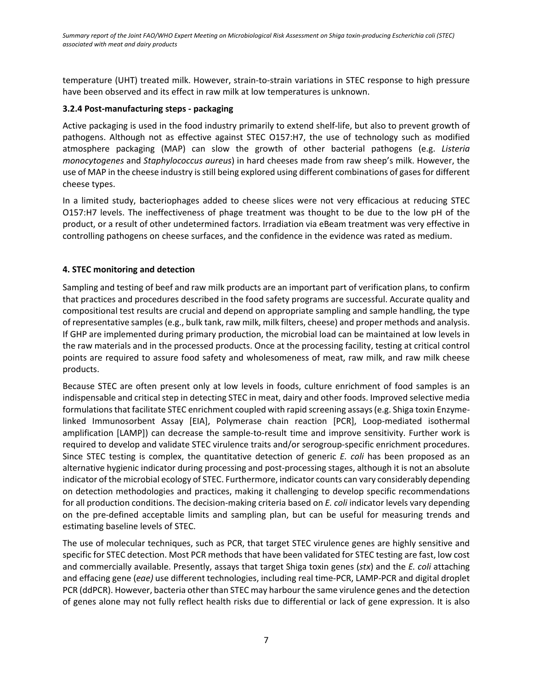temperature (UHT) treated milk. However, strain-to-strain variations in STEC response to high pressure have been observed and its effect in raw milk at low temperatures is unknown.

## **3.2.4 Post-manufacturing steps - packaging**

Active packaging is used in the food industry primarily to extend shelf-life, but also to prevent growth of pathogens. Although not as effective against STEC O157:H7, the use of technology such as modified atmosphere packaging (MAP) can slow the growth of other bacterial pathogens (e.g. *Listeria monocytogenes* and *Staphylococcus aureus*) in hard cheeses made from raw sheep's milk. However, the use of MAP in the cheese industry is still being explored using different combinations of gases for different cheese types.

In a limited study, bacteriophages added to cheese slices were not very efficacious at reducing STEC O157:H7 levels. The ineffectiveness of phage treatment was thought to be due to the low pH of the product, or a result of other undetermined factors. Irradiation via eBeam treatment was very effective in controlling pathogens on cheese surfaces, and the confidence in the evidence was rated as medium.

## **4. STEC monitoring and detection**

Sampling and testing of beef and raw milk products are an important part of verification plans, to confirm that practices and procedures described in the food safety programs are successful. Accurate quality and compositional test results are crucial and depend on appropriate sampling and sample handling, the type of representative samples (e.g., bulk tank, raw milk, milk filters, cheese) and proper methods and analysis. If GHP are implemented during primary production, the microbial load can be maintained at low levels in the raw materials and in the processed products. Once at the processing facility, testing at critical control points are required to assure food safety and wholesomeness of meat, raw milk, and raw milk cheese products.

Because STEC are often present only at low levels in foods, culture enrichment of food samples is an indispensable and critical step in detecting STEC in meat, dairy and other foods. Improved selective media formulations that facilitate STEC enrichment coupled with rapid screening assays (e.g. Shiga toxin Enzymelinked Immunosorbent Assay [EIA], Polymerase chain reaction [PCR], Loop-mediated isothermal amplification [LAMP]) can decrease the sample-to-result time and improve sensitivity. Further work is required to develop and validate STEC virulence traits and/or serogroup-specific enrichment procedures. Since STEC testing is complex, the quantitative detection of generic *E. coli* has been proposed as an alternative hygienic indicator during processing and post-processing stages, although it is not an absolute indicator of the microbial ecology of STEC. Furthermore, indicator counts can vary considerably depending on detection methodologies and practices, making it challenging to develop specific recommendations for all production conditions. The decision-making criteria based on *E. coli* indicator levels vary depending on the pre-defined acceptable limits and sampling plan, but can be useful for measuring trends and estimating baseline levels of STEC.

The use of molecular techniques, such as PCR, that target STEC virulence genes are highly sensitive and specific for STEC detection. Most PCR methods that have been validated for STEC testing are fast, low cost and commercially available. Presently, assays that target Shiga toxin genes (*stx*) and the *E. coli* attaching and effacing gene (*eae)* use different technologies, including real time-PCR, LAMP-PCR and digital droplet PCR (ddPCR). However, bacteria other than STEC may harbour the same virulence genes and the detection of genes alone may not fully reflect health risks due to differential or lack of gene expression. It is also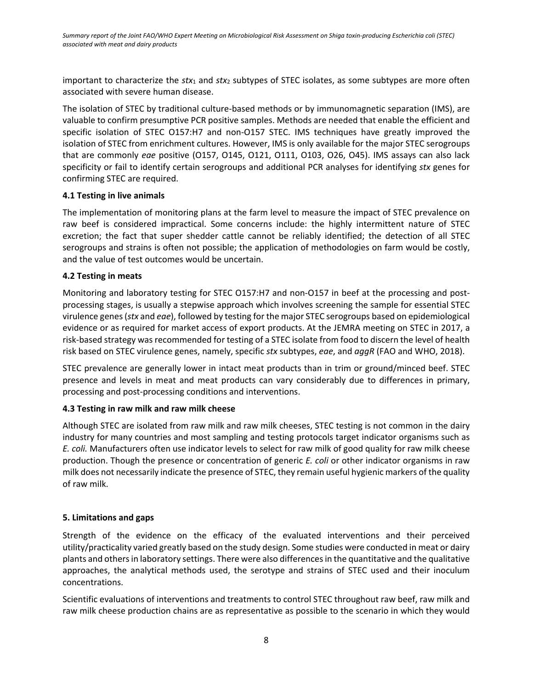important to characterize the *stx*<sup>1</sup> and *stx*<sup>2</sup> subtypes of STEC isolates, as some subtypes are more often associated with severe human disease.

The isolation of STEC by traditional culture-based methods or by immunomagnetic separation (IMS), are valuable to confirm presumptive PCR positive samples. Methods are needed that enable the efficient and specific isolation of STEC O157:H7 and non-O157 STEC. IMS techniques have greatly improved the isolation of STEC from enrichment cultures. However, IMS is only available for the major STEC serogroups that are commonly *eae* positive (O157, O145, O121, O111, O103, O26, O45). IMS assays can also lack specificity or fail to identify certain serogroups and additional PCR analyses for identifying *stx* genes for confirming STEC are required.

## **4.1 Testing in live animals**

The implementation of monitoring plans at the farm level to measure the impact of STEC prevalence on raw beef is considered impractical. Some concerns include: the highly intermittent nature of STEC excretion; the fact that super shedder cattle cannot be reliably identified; the detection of all STEC serogroups and strains is often not possible; the application of methodologies on farm would be costly, and the value of test outcomes would be uncertain.

## **4.2 Testing in meats**

Monitoring and laboratory testing for STEC O157:H7 and non-O157 in beef at the processing and postprocessing stages, is usually a stepwise approach which involves screening the sample for essential STEC virulence genes (*stx* and *eae*), followed by testing for the major STEC serogroups based on epidemiological evidence or as required for market access of export products. At the JEMRA meeting on STEC in 2017, a risk-based strategy was recommended for testing of a STEC isolate from food to discern the level of health risk based on STEC virulence genes, namely, specific *stx* subtypes, *eae*, and *aggR* (FAO and WHO, 2018).

STEC prevalence are generally lower in intact meat products than in trim or ground/minced beef. STEC presence and levels in meat and meat products can vary considerably due to differences in primary, processing and post-processing conditions and interventions.

# **4.3 Testing in raw milk and raw milk cheese**

Although STEC are isolated from raw milk and raw milk cheeses, STEC testing is not common in the dairy industry for many countries and most sampling and testing protocols target indicator organisms such as *E. coli.* Manufacturers often use indicator levels to select for raw milk of good quality for raw milk cheese production. Though the presence or concentration of generic *E. coli* or other indicator organisms in raw milk does not necessarily indicate the presence of STEC, they remain useful hygienic markers of the quality of raw milk.

### **5. Limitations and gaps**

Strength of the evidence on the efficacy of the evaluated interventions and their perceived utility/practicality varied greatly based on the study design. Some studies were conducted in meat or dairy plants and others in laboratory settings. There were also differences in the quantitative and the qualitative approaches, the analytical methods used, the serotype and strains of STEC used and their inoculum concentrations.

Scientific evaluations of interventions and treatments to control STEC throughout raw beef, raw milk and raw milk cheese production chains are as representative as possible to the scenario in which they would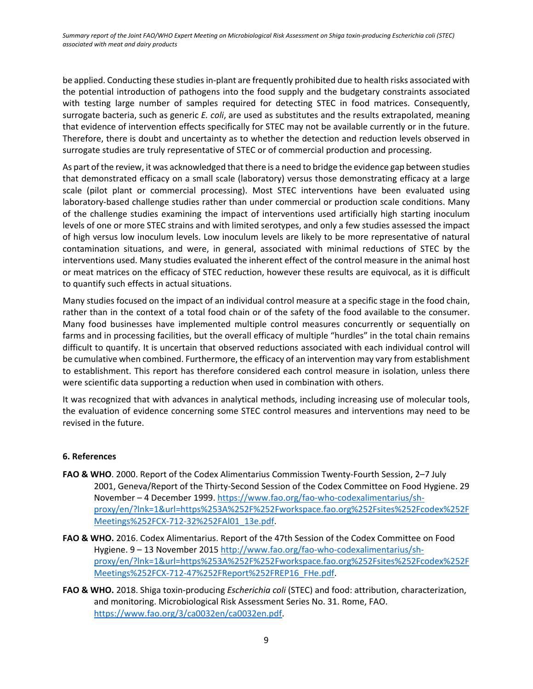be applied. Conducting these studies in-plant are frequently prohibited due to health risks associated with the potential introduction of pathogens into the food supply and the budgetary constraints associated with testing large number of samples required for detecting STEC in food matrices. Consequently, surrogate bacteria, such as generic *E. coli*, are used as substitutes and the results extrapolated, meaning that evidence of intervention effects specifically for STEC may not be available currently or in the future. Therefore, there is doubt and uncertainty as to whether the detection and reduction levels observed in surrogate studies are truly representative of STEC or of commercial production and processing.

As part of the review, it was acknowledged that there is a need to bridge the evidence gap between studies that demonstrated efficacy on a small scale (laboratory) versus those demonstrating efficacy at a large scale (pilot plant or commercial processing). Most STEC interventions have been evaluated using laboratory-based challenge studies rather than under commercial or production scale conditions. Many of the challenge studies examining the impact of interventions used artificially high starting inoculum levels of one or more STEC strains and with limited serotypes, and only a few studies assessed the impact of high versus low inoculum levels. Low inoculum levels are likely to be more representative of natural contamination situations, and were, in general, associated with minimal reductions of STEC by the interventions used. Many studies evaluated the inherent effect of the control measure in the animal host or meat matrices on the efficacy of STEC reduction, however these results are equivocal, as it is difficult to quantify such effects in actual situations.

Many studies focused on the impact of an individual control measure at a specific stage in the food chain, rather than in the context of a total food chain or of the safety of the food available to the consumer. Many food businesses have implemented multiple control measures concurrently or sequentially on farms and in processing facilities, but the overall efficacy of multiple "hurdles" in the total chain remains difficult to quantify. It is uncertain that observed reductions associated with each individual control will be cumulative when combined. Furthermore, the efficacy of an intervention may vary from establishment to establishment. This report has therefore considered each control measure in isolation, unless there were scientific data supporting a reduction when used in combination with others.

It was recognized that with advances in analytical methods, including increasing use of molecular tools, the evaluation of evidence concerning some STEC control measures and interventions may need to be revised in the future.

# **6. References**

- **FAO & WHO**. 2000. Report of the Codex Alimentarius Commission Twenty-Fourth Session, 2–7 July 2001, Geneva/Report of the Thirty-Second Session of the Codex Committee on Food Hygiene. 29 November – 4 December 1999. https://www.fao.org/fao-who-codexalimentarius/shproxy/en/?lnk=1&url=https%253A%252F%252Fworkspace.fao.org%252Fsites%252Fcodex%252F Meetings%252FCX-712-32%252FAl01\_13e.pdf.
- **FAO & WHO.** 2016. Codex Alimentarius. Report of the 47th Session of the Codex Committee on Food Hygiene. 9 – 13 November 2015 [http://www.fao.org/fao-who-codexalimentarius/sh](http://www.fao.org/fao-who-codexalimentarius/sh-proxy/en/?lnk=1&url=https%253A%252F%252Fworkspace.fao.org%252Fsites%252Fcodex%252FMeetings%252FCX-712-47%252FReport%252FREP16_FHe.pdf)[proxy/en/?lnk=1&url=https%253A%252F%252Fworkspace.fao.org%252Fsites%252Fcodex%252F](http://www.fao.org/fao-who-codexalimentarius/sh-proxy/en/?lnk=1&url=https%253A%252F%252Fworkspace.fao.org%252Fsites%252Fcodex%252FMeetings%252FCX-712-47%252FReport%252FREP16_FHe.pdf) [Meetings%252FCX-712-47%252FReport%252FREP16\\_FHe.pdf.](http://www.fao.org/fao-who-codexalimentarius/sh-proxy/en/?lnk=1&url=https%253A%252F%252Fworkspace.fao.org%252Fsites%252Fcodex%252FMeetings%252FCX-712-47%252FReport%252FREP16_FHe.pdf)
- **FAO & WHO.** 2018. Shiga toxin-producing *Escherichia coli* (STEC) and food: attribution, characterization, and monitoring. Microbiological Risk Assessment Series No. 31. Rome, FAO. [https://www.fao.org/3/ca0032en/ca0032en.pdf.](https://www.fao.org/3/ca0032en/ca0032en.pdf)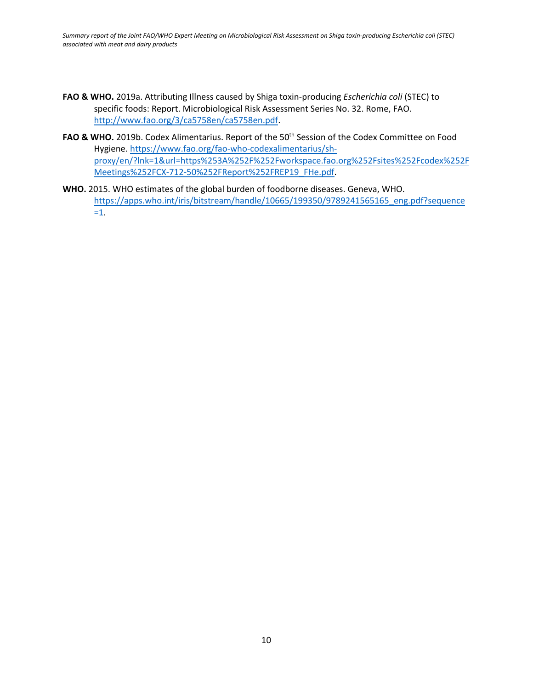*Summary report of the Joint FAO/WHO Expert Meeting on Microbiological Risk Assessment on Shiga toxin-producing Escherichia coli (STEC) associated with meat and dairy products*

- **FAO & WHO.** 2019a. Attributing Illness caused by Shiga toxin-producing *Escherichia coli* (STEC) to specific foods: Report. Microbiological Risk Assessment Series No. 32. Rome, FAO. [http://www.fao.org/3/ca5758en/ca5758en.pdf.](http://www.fao.org/3/ca5758en/ca5758en.pdf)
- FAO & WHO. 2019b. Codex Alimentarius. Report of the 50<sup>th</sup> Session of the Codex Committee on Food Hygiene. [https://www.fao.org/fao-who-codexalimentarius/sh](https://www.fao.org/fao-who-codexalimentarius/sh-proxy/en/?lnk=1&url=https%253A%252F%252Fworkspace.fao.org%252Fsites%252Fcodex%252FMeetings%252FCX-712-50%252FReport%252FREP19_FHe.pdf)[proxy/en/?lnk=1&url=https%253A%252F%252Fworkspace.fao.org%252Fsites%252Fcodex%252F](https://www.fao.org/fao-who-codexalimentarius/sh-proxy/en/?lnk=1&url=https%253A%252F%252Fworkspace.fao.org%252Fsites%252Fcodex%252FMeetings%252FCX-712-50%252FReport%252FREP19_FHe.pdf) [Meetings%252FCX-712-50%252FReport%252FREP19\\_FHe.pdf.](https://www.fao.org/fao-who-codexalimentarius/sh-proxy/en/?lnk=1&url=https%253A%252F%252Fworkspace.fao.org%252Fsites%252Fcodex%252FMeetings%252FCX-712-50%252FReport%252FREP19_FHe.pdf)
- **WHO.** 2015. WHO estimates of the global burden of foodborne diseases. Geneva, WHO. [https://apps.who.int/iris/bitstream/handle/10665/199350/9789241565165\\_eng.pdf?sequence](https://apps.who.int/iris/bitstream/handle/10665/199350/9789241565165_eng.pdf?sequence=1) [=1.](https://apps.who.int/iris/bitstream/handle/10665/199350/9789241565165_eng.pdf?sequence=1)